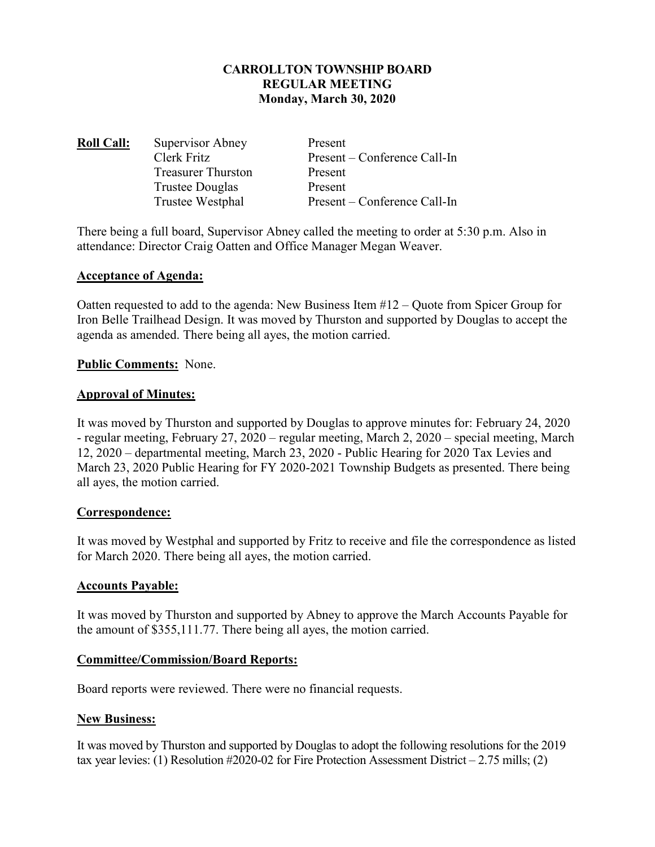## **CARROLLTON TOWNSHIP BOARD REGULAR MEETING Monday, March 30, 2020**

**Roll Call:** Supervisor Abney Present Clerk Fritz Present – Conference Call-In Treasurer Thurston Present Trustee Douglas Present Trustee Westphal Present – Conference Call-In

There being a full board, Supervisor Abney called the meeting to order at 5:30 p.m. Also in attendance: Director Craig Oatten and Office Manager Megan Weaver.

### **Acceptance of Agenda:**

Oatten requested to add to the agenda: New Business Item #12 – Quote from Spicer Group for Iron Belle Trailhead Design. It was moved by Thurston and supported by Douglas to accept the agenda as amended. There being all ayes, the motion carried.

### **Public Comments:** None.

### **Approval of Minutes:**

It was moved by Thurston and supported by Douglas to approve minutes for: February 24, 2020 - regular meeting, February 27, 2020 – regular meeting, March 2, 2020 – special meeting, March 12, 2020 – departmental meeting, March 23, 2020 - Public Hearing for 2020 Tax Levies and March 23, 2020 Public Hearing for FY 2020-2021 Township Budgets as presented. There being all ayes, the motion carried.

### **Correspondence:**

It was moved by Westphal and supported by Fritz to receive and file the correspondence as listed for March 2020. There being all ayes, the motion carried.

### **Accounts Payable:**

It was moved by Thurston and supported by Abney to approve the March Accounts Payable for the amount of \$355,111.77. There being all ayes, the motion carried.

### **Committee/Commission/Board Reports:**

Board reports were reviewed. There were no financial requests.

### **New Business:**

It was moved by Thurston and supported by Douglas to adopt the following resolutions for the 2019 tax year levies: (1) Resolution #2020-02 for Fire Protection Assessment District – 2.75 mills; (2)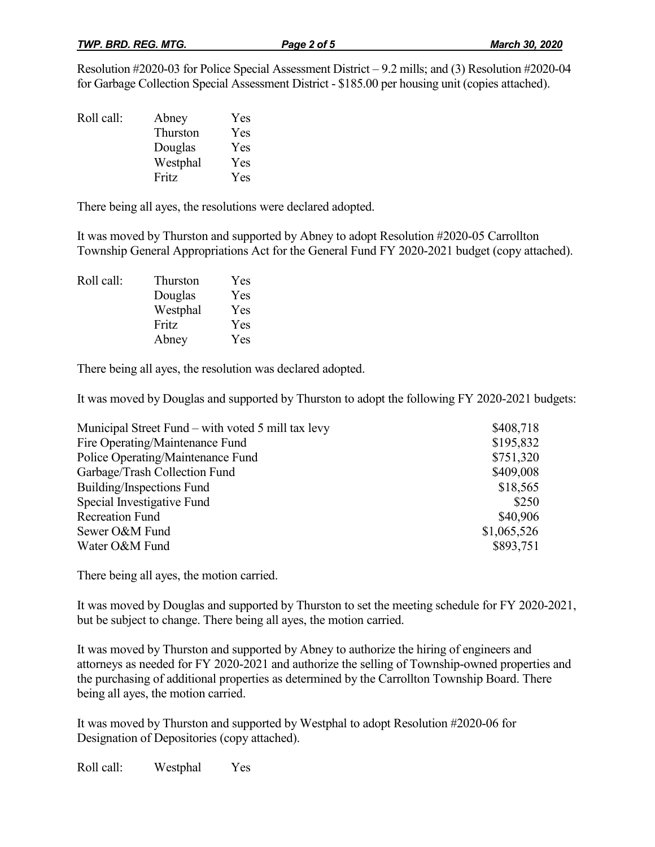Resolution #2020-03 for Police Special Assessment District – 9.2 mills; and (3) Resolution #2020-04 for Garbage Collection Special Assessment District - \$185.00 per housing unit (copies attached).

| Roll call: | Abney    | Yes |
|------------|----------|-----|
|            | Thurston | Yes |
|            | Douglas  | Yes |
|            | Westphal | Yes |
|            | Fritz    | Yes |

There being all ayes, the resolutions were declared adopted.

It was moved by Thurston and supported by Abney to adopt Resolution #2020-05 Carrollton Township General Appropriations Act for the General Fund FY 2020-2021 budget (copy attached).

Roll call: Thurston Yes Douglas Yes Westphal Yes Fritz Yes Abney Yes

There being all ayes, the resolution was declared adopted.

It was moved by Douglas and supported by Thurston to adopt the following FY 2020-2021 budgets:

| Municipal Street Fund – with voted 5 mill tax levy | \$408,718   |
|----------------------------------------------------|-------------|
| Fire Operating/Maintenance Fund                    | \$195,832   |
| Police Operating/Maintenance Fund                  | \$751,320   |
| Garbage/Trash Collection Fund                      | \$409,008   |
| Building/Inspections Fund                          | \$18,565    |
| Special Investigative Fund                         | \$250       |
| <b>Recreation Fund</b>                             | \$40,906    |
| Sewer O&M Fund                                     | \$1,065,526 |
| Water O&M Fund                                     | \$893,751   |

There being all ayes, the motion carried.

It was moved by Douglas and supported by Thurston to set the meeting schedule for FY 2020-2021, but be subject to change. There being all ayes, the motion carried.

It was moved by Thurston and supported by Abney to authorize the hiring of engineers and attorneys as needed for FY 2020-2021 and authorize the selling of Township-owned properties and the purchasing of additional properties as determined by the Carrollton Township Board. There being all ayes, the motion carried.

It was moved by Thurston and supported by Westphal to adopt Resolution #2020-06 for Designation of Depositories (copy attached).

Roll call: Westphal Yes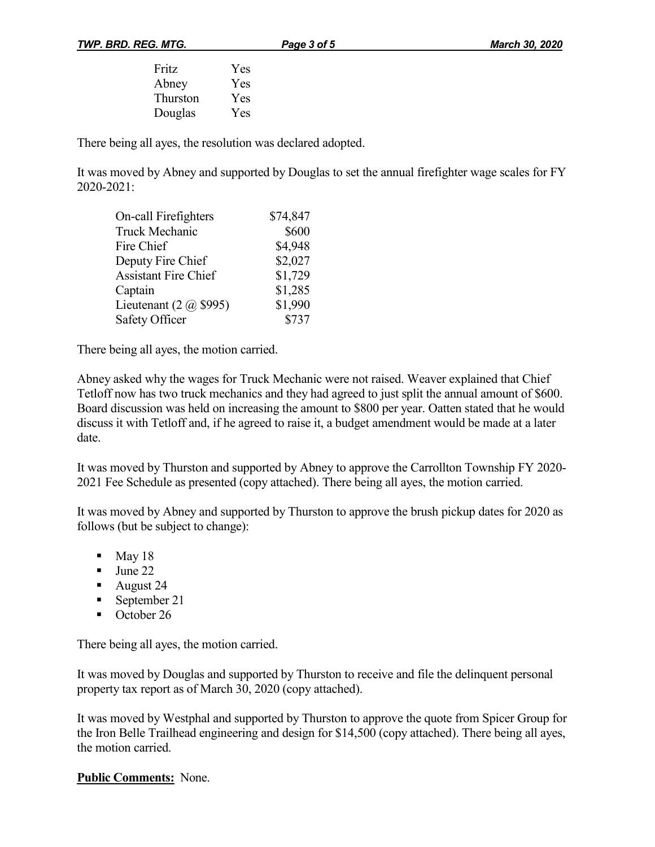| Fritz           | Yes        |
|-----------------|------------|
| Abney           | Yes        |
| <b>Thurston</b> | <b>Yes</b> |
| Douglas         | Yes        |

There being all ayes, the resolution was declared adopted.

It was moved by Abney and supported by Douglas to set the annual firefighter wage scales for FY 2020-2021:

| On-call Firefighters          | \$74,847 |
|-------------------------------|----------|
| Truck Mechanic                | \$600    |
| Fire Chief                    | \$4,948  |
| Deputy Fire Chief             | \$2,027  |
| <b>Assistant Fire Chief</b>   | \$1,729  |
| Captain                       | \$1,285  |
| Lieutenant $(2 \omega$ \$995) | \$1,990  |
| Safety Officer                | \$737    |

There being all ayes, the motion carried.

Abney asked why the wages for Truck Mechanic were not raised. Weaver explained that Chief Tetloff now has two truck mechanics and they had agreed to just split the annual amount of \$600. Board discussion was held on increasing the amount to \$800 per year. Oatten stated that he would discuss it with Tetloff and, if he agreed to raise it, a budget amendment would be made at a later date.

It was moved by Thurston and supported by Abney to approve the Carrollton Township FY 2020- 2021 Fee Schedule as presented (copy attached). There being all ayes, the motion carried.

It was moved by Abney and supported by Thurston to approve the brush pickup dates for 2020 as follows (but be subject to change):

- $\blacksquare$  May 18
- $\blacksquare$  June 22
- August 24
- September 21
- October 26

There being all ayes, the motion carried.

It was moved by Douglas and supported by Thurston to receive and file the delinquent personal property tax report as of March 30, 2020 (copy attached).

It was moved by Westphal and supported by Thurston to approve the quote from Spicer Group for the Iron Belle Trailhead engineering and design for \$14,500 (copy attached). There being all ayes, the motion carried.

**Public Comments:** None.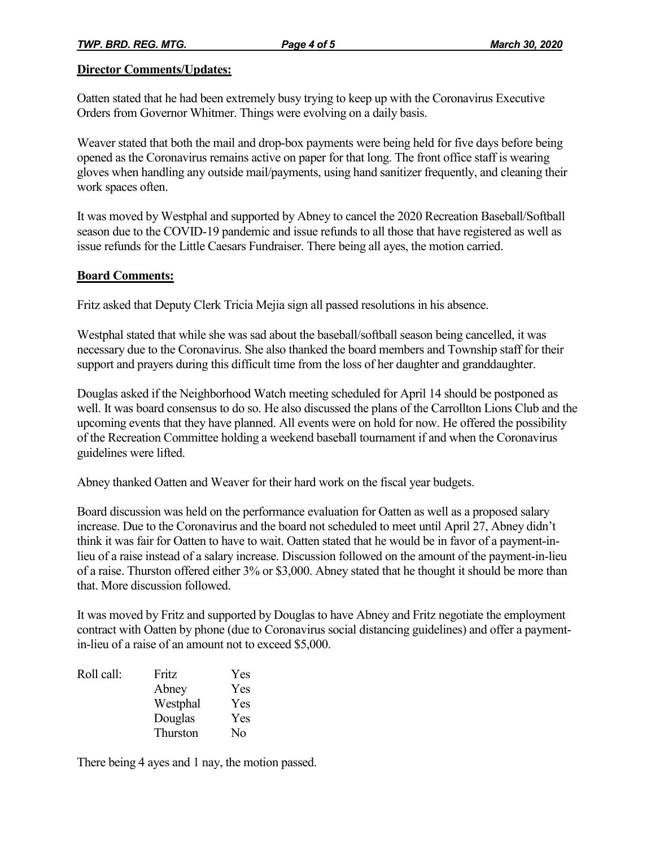#### **Director Comments/Updates:**

Oatten stated that he had been extremely busy trying to keep up with the Coronavirus Executive Orders from Governor Whitmer. Things were evolving on a daily basis.

Weaver stated that both the mail and drop-box payments were being held for five days before being opened as the Coronavirus remains active on paper for that long. The front office staff is wearing gloves when handling any outside mail/payments, using hand sanitizer frequently, and cleaning their work spaces often.

It was moved by Westphal and supported by Abney to cancel the 2020 Recreation Baseball/Softball season due to the COVID-19 pandemic and issue refunds to all those that have registered as well as issue refunds for the Little Caesars Fundraiser. There being all ayes, the motion carried.

### **Board Comments:**

Fritz asked that Deputy Clerk Tricia Mejia sign all passed resolutions in his absence.

Westphal stated that while she was sad about the baseball/softball season being cancelled, it was necessary due to the Coronavirus. She also thanked the board members and Township staff for their support and prayers during this difficult time from the loss of her daughter and granddaughter.

Douglas asked if the Neighborhood Watch meeting scheduled for April 14 should be postponed as well. It was board consensus to do so. He also discussed the plans of the Carrollton Lions Club and the upcoming events that they have planned. All events were on hold for now. He offered the possibility of the Recreation Committee holding a weekend baseball tournament if and when the Coronavirus guidelines were lifted.

Abney thanked Oatten and Weaver for their hard work on the fiscal year budgets.

Board discussion was held on the performance evaluation for Oatten as well as a proposed salary increase. Due to the Coronavirus and the board not scheduled to meet until April 27, Abney didn't think it was fair for Oatten to have to wait. Oatten stated that he would be in favor of a payment-inlieu of a raise instead of a salary increase. Discussion followed on the amount of the payment-in-lieu of a raise. Thurston offered either 3% or \$3,000. Abney stated that he thought it should be more than that. More discussion followed.

It was moved by Fritz and supported by Douglas to have Abney and Fritz negotiate the employment contract with Oatten by phone (due to Coronavirus social distancing guidelines) and offer a paymentin-lieu of a raise of an amount not to exceed \$5,000.

| Roll call: | Fritz    | Yes |
|------------|----------|-----|
|            | Abney    | Yes |
|            | Westphal | Yes |
|            | Douglas  | Yes |
|            | Thurston | Nο  |

There being 4 ayes and 1 nay, the motion passed.